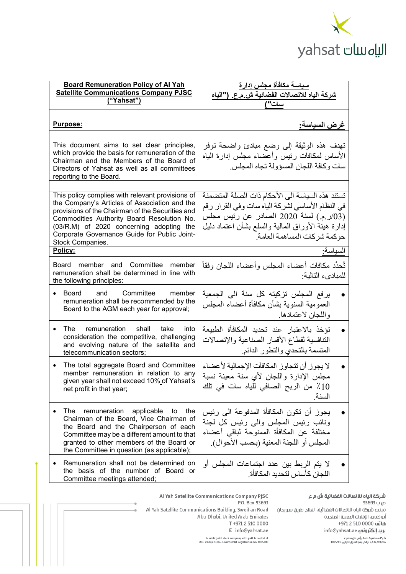

| <b>Board Remuneration Policy of Al Yah</b><br><b>Satellite Communications Company PJSC</b>        |                                                                                         | سياسة مكافأة مجلس إدارة<br>شركة الياه للاتصالات الفضائية ش.م.ع. ("الياه |  |
|---------------------------------------------------------------------------------------------------|-----------------------------------------------------------------------------------------|-------------------------------------------------------------------------|--|
|                                                                                                   | ("Yahsat")                                                                              | سات"/                                                                   |  |
|                                                                                                   |                                                                                         |                                                                         |  |
|                                                                                                   | Purpose:                                                                                | غرض السياسة:                                                            |  |
|                                                                                                   |                                                                                         |                                                                         |  |
| This document aims to set clear principles,                                                       |                                                                                         | تهدف هذه الوثيقة إلى وضع مبادئ واضحة توفر                               |  |
| which provide the basis for remuneration of the<br>Chairman and the Members of the Board of       |                                                                                         | الأساس لمكافأت رئيس وأعضاء مجلس إدارة الياه                             |  |
| Directors of Yahsat as well as all committees                                                     |                                                                                         | سات وكافة اللجان المسؤولة تجاه المجلس.                                  |  |
|                                                                                                   | reporting to the Board.                                                                 |                                                                         |  |
|                                                                                                   |                                                                                         | تستند هذه السياسة الى الأحكام ذات الصلة المتضمنة                        |  |
| This policy complies with relevant provisions of<br>the Company's Articles of Association and the |                                                                                         | في النظام الأساسي لشركة الياه سات وفي القرار رقم                        |  |
|                                                                                                   | provisions of the Chairman of the Securities and                                        | (03/ر ـم.) لسنة 2020 الصـادر عن رئيس مجلس                               |  |
| Commodities Authority Board Resolution No.<br>(03/R.M) of 2020 concerning adopting the            |                                                                                         | إدارة هيئة الأوراق المالية والسلع بشأن اعتماد دليل                      |  |
|                                                                                                   | Corporate Governance Guide for Public Joint-                                            | حوكمة شركات المساهمة العامة.                                            |  |
| Stock Companies.<br>Policy:                                                                       |                                                                                         | السياسة:                                                                |  |
|                                                                                                   |                                                                                         |                                                                         |  |
| Board member and Committee<br>member                                                              |                                                                                         | ثُحدَّد مكافآت أعضاء المجلس وأعضاء اللجان وفقاً                         |  |
| remuneration shall be determined in line with<br>the following principles:                        |                                                                                         | للمبادىء التالية:                                                       |  |
|                                                                                                   | Board and<br>Committee<br>member                                                        | يرفع المجلس تزكيته كل سنة الى الجمعية                                   |  |
|                                                                                                   | remuneration shall be recommended by the                                                | العمومية السنوية بشأن مكافأة أعضاء المجلس                               |  |
|                                                                                                   | Board to the AGM each year for approval;                                                | واللجان لاعتمادها.                                                      |  |
|                                                                                                   |                                                                                         |                                                                         |  |
|                                                                                                   | The remuneration<br>take<br>shall<br>into<br>consideration the competitive, challenging | تؤخذ بالاعتبار عند تحديد المكافأة الطبيعة                               |  |
|                                                                                                   | and evolving nature of the satellite and                                                | التنافسية لقطاع الأقمار الصناعية والإتصالات                             |  |
|                                                                                                   | telecommunication sectors;                                                              | المتسمة بالتحدي والتطور الدائم.                                         |  |
|                                                                                                   | The total aggregate Board and Committee                                                 | لا يجوز أن تتجاوز المكافآت الإجمالية لأعضاء                             |  |
|                                                                                                   | member remuneration in relation to any<br>given year shall not exceed 10% of Yahsat's   | مجلس الإدارة واللجان لأي سنة معينة نسبة                                 |  |
|                                                                                                   | net profit in that year;                                                                | 10٪ من الربح الصافي للياه سات في تلك                                    |  |
|                                                                                                   |                                                                                         | السنة.                                                                  |  |
|                                                                                                   | The<br>remuneration<br>applicable to<br>the                                             | يجوز أن تكون المكافأة المدفوعة الى رئيس                                 |  |
|                                                                                                   | Chairman of the Board, Vice Chairman of                                                 | ونائب رئيس المجلس والىي رئيس كل لجنة                                    |  |
|                                                                                                   | the Board and the Chairperson of each<br>Committee may be a different amount to that    | مختلفة عن المكافأة الممنوحة لباقى أعضاء                                 |  |
|                                                                                                   | granted to other members of the Board or                                                | المجلس أو اللجنة المعنية (بحسب الأحوال).                                |  |
|                                                                                                   | the Committee in question (as applicable);                                              |                                                                         |  |
|                                                                                                   | Remuneration shall not be determined on                                                 | لا يتم الربط بين عدد اجتماعات المجلس أو                                 |  |
|                                                                                                   | the basis of the number of Board or<br>Committee meetings attended;                     | اللجان كأساس لتحديد المكافأة.                                           |  |
|                                                                                                   |                                                                                         |                                                                         |  |

شركة الياه للاتصالات الفضائية ش م ع ص ب 93693 مبنهء شركة الياه للاتصالات الفضائية، الفلاح طريق سويحان أبوظبهي، الإمارات العربية المتحدة شاتف 4971 2 510 971 info@yahsat.ae بريد إلكترونب .<br>شركة مساهمة عامة برأس مال مدفوع.<br>2,439,770,265 درهم. رقم السجل التجاري 1005700

Al Yah Satellite Communications Company PJSC P.O. Box 93693 Al Yah Satellite Communications Building, Sweihan Road Abu Dhabi, United Arab Emirates T +971 2 510 0000 E info@yahsat.ae

A public joint stock company with paid in capital of<br>AED 2,439,770,265. Commercial Registration No. 1005700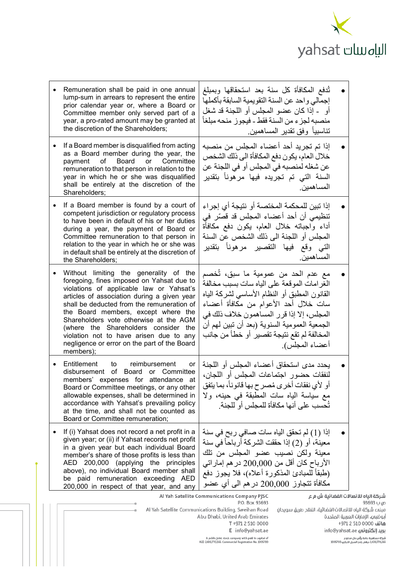

|                                                                                                                                                                                                                                                                                                                                                              | Remuneration shall be paid in one annual<br>lump-sum in arrears to represent the entire<br>prior calendar year or, where a Board or<br>Committee member only served part of a<br>year, a pro-rated amount may be granted at<br>the discretion of the Shareholders;                                                                                                                                                                                            | ثُدفع المكافأة كل سنة بعد استحقاقها وبمبلغ<br>إجمالي واحد عن السنة النقويمية السابقة بأكملها<br>أو   ـ إذا كان عضو المجلس أو اللجنة قد شغل<br>منصبه لجزء من السنة فقط - فيجوز منحه مبلغاً<br>تناسبياً وفق تقدير المساهمين.                                                                                                              |  |  |
|--------------------------------------------------------------------------------------------------------------------------------------------------------------------------------------------------------------------------------------------------------------------------------------------------------------------------------------------------------------|---------------------------------------------------------------------------------------------------------------------------------------------------------------------------------------------------------------------------------------------------------------------------------------------------------------------------------------------------------------------------------------------------------------------------------------------------------------|-----------------------------------------------------------------------------------------------------------------------------------------------------------------------------------------------------------------------------------------------------------------------------------------------------------------------------------------|--|--|
|                                                                                                                                                                                                                                                                                                                                                              | If a Board member is disqualified from acting<br>as a Board member during the year, the<br>of<br>Committee<br>Board<br>or<br>payment<br>remuneration to that person in relation to the<br>year in which he or she was disqualified<br>shall be entirely at the discretion of the<br>Shareholders;                                                                                                                                                             | إذا تم تجريد أحد أعضاء المجلس من منصبه<br>خلال العام، يكون دفع المكافأة الى ذلك الشخص<br>عن شغله لمنصبه في المجلس أو في اللجنة عن<br>السنة التي تم تجريده فيها مرهوناً بتقدير<br>المساهمبن.                                                                                                                                             |  |  |
|                                                                                                                                                                                                                                                                                                                                                              | If a Board member is found by a court of<br>competent jurisdiction or regulatory process<br>to have been in default of his or her duties<br>during a year, the payment of Board or<br>Committee remuneration to that person in<br>relation to the year in which he or she was<br>in default shall be entirely at the discretion of<br>the Shareholders;                                                                                                       | إذا تبين للمحكمة المختصة أو نتيجة أي إجراء<br>تنظيمي أن أحد أعضاء المجلس قد قصّر في<br>أداء واجباته خلال العام، يكون دفع مكافأة<br>المجلس أو اللجنة الى ذلك الشخص عن السنة<br>التي وقع فيها التقصير مرهونأ بتقدير<br>المساهمين.                                                                                                         |  |  |
|                                                                                                                                                                                                                                                                                                                                                              | Without limiting the generality of the<br>foregoing, fines imposed on Yahsat due to<br>violations of applicable law or Yahsat's<br>articles of association during a given year<br>shall be deducted from the remuneration of<br>the Board members, except where the<br>Shareholders vote otherwise at the AGM<br>(where the Shareholders consider the<br>violation not to have arisen due to any<br>negligence or error on the part of the Board<br>members); | مع عدم الحد من عمومية ما سبق، تُخصم<br>الغرامات الموقعة على الياه سات بسبب مخالفة<br>القانون المطبق أو النظام الأساسي لشركة الياه<br>سات خلال أحد الأعوام من مكافأة أعضاء<br>المجلس، إلا إذا قرر المساهمون خلاف ذلك في<br>الجمعية العمومية السنوية (بعد أن تبين لمهم أن<br>المخالفة لم تقع نتيجة تقصير أو خطأ من جانب<br>أعضاء المجلس). |  |  |
| $\bullet$                                                                                                                                                                                                                                                                                                                                                    | Entitlement<br>reimbursement<br>to<br>or<br>disbursement of Board or Committee<br>members' expenses for attendance at<br>Board or Committee meetings, or any other<br>allowable expenses, shall be determined in<br>accordance with Yahsat's prevailing policy<br>at the time, and shall not be counted as<br>Board or Committee remuneration;                                                                                                                | يحدد مدى استحقاق أعضاء المجلس أو اللجنة<br>لنفقات حضور اجتماعات المجلس أو اللجان،<br>أو لأي نفقات أخرى مُصرح بها قانوناً، بما يتفق<br>مع سياسة الياه سات المطبقة في حينه، ولا<br>تُحسب على أنها مكافأة للمجلس أو للجنة.                                                                                                                 |  |  |
|                                                                                                                                                                                                                                                                                                                                                              | If (i) Yahsat does not record a net profit in a<br>given year; or (ii) if Yahsat records net profit<br>in a given year but each individual Board<br>member's share of those profits is less than<br>AED 200,000 (applying the principles<br>above), no individual Board member shall<br>be paid remuneration exceeding AED<br>200,000 in respect of that year, and any                                                                                        | إذا (1) لم تحقق الياه سات صـافـي ر بح فـي سنـة<br>معينة، أو (2) إذا حققت الشركة أرباحاً في سنة<br>معينة ولكن نصيب عضو المجلس من تلك<br>الأرباح كان أقل من 200,000 در هم إماراتي<br>(طبقاً للمبادئ المذكورة أعلاه)، فلا يجوز دفع<br>مكافأة تتجاوز 200,000 در هم الى أي عضو                                                               |  |  |
| شركة الياه للاتصالات الفضائية ش م ع<br>Al Yah Satellite Communications Company PJSC<br>P.O. Box 93693<br>93693 U p<br>Al Yah Satellite Communications Building, Sweihan Road<br>مبنهء شركة الياه للاتصالات الفضائية، الفلاح طريق سويحان<br>Abu Dhabi, United Arab Emirates<br>آبوظبمے، الإمارات العربية المتحدة<br>T +971 2 510 0000<br>هاتف 0000 510 4971 + |                                                                                                                                                                                                                                                                                                                                                                                                                                                               |                                                                                                                                                                                                                                                                                                                                         |  |  |

E info@yahsat.ae

A public joint stock company with paid in capital of<br>AED 2,439,770,265. Commercial Registration No. 1005700

مبنهء شركة الياه ل أبوظبمے، الإمارات الد .<br>هاتف 510 510 510 info@yahsat.ae بريد إلكترونم ء - ---<br>شركة مساهمة عامة برأس مال مدفوع<br>2,439,770,265 درهم. رقم السجل التجاري 1005700